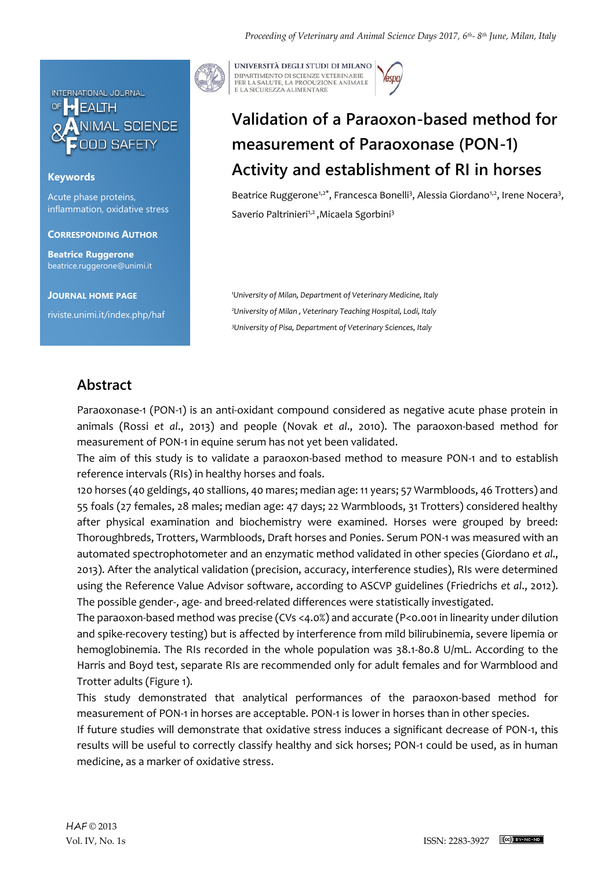

### **Keywords**

Acute phase proteins, inflammation, oxidative stress

**CORRESPONDING AUTHOR**

**Beatrice Ruggerone** beatrice.ruggerone@unimi.it

**JOURNAL HOME PAGE**

riviste.unimi.it/index.php/haf

UNIVERSITÀ DEGLI STUDI DI MILANO DIPARTIMENTO DI SCIENZE VETERINARIE PER LA SALUTE, LA PRODUZIONE ANIMALE<br>E LA SICUREZZA ALIMENTARE

# **Validation of a Paraoxon-based method for measurement of Paraoxonase (PON-1) Activity and establishment of RI in horses**

Beatrice Ruggerone<sup>1,2\*</sup>, Francesca Bonelli<sup>3</sup>, Alessia Giordano<sup>1,2</sup>, Irene Nocera<sup>3</sup>, Saverio Paltrinieri<sup>1,2</sup>, Micaela Sgorbini<sup>3</sup>

*<sup>1</sup>University of Milan, Department of Veterinary Medicine, Italy <sup>2</sup>University of Milan , Veterinary Teaching Hospital, Lodi, Italy <sup>3</sup>University of Pisa, Department of Veterinary Sciences, Italy*

## **Abstract**

Paraoxonase-1 (PON-1) is an anti-oxidant compound considered as negative acute phase protein in animals (Rossi *et al*., 2013) and people (Novak *et al*., 2010). The paraoxon-based method for measurement of PON-1 in equine serum has not yet been validated.

The aim of this study is to validate a paraoxon-based method to measure PON-1 and to establish reference intervals (RIs) in healthy horses and foals.

120 horses (40 geldings, 40 stallions, 40 mares; median age: 11 years; 57 Warmbloods, 46 Trotters) and 55 foals (27 females, 28 males; median age: 47 days; 22 Warmbloods, 31 Trotters) considered healthy after physical examination and biochemistry were examined. Horses were grouped by breed: Thoroughbreds, Trotters, Warmbloods, Draft horses and Ponies. Serum PON-1 was measured with an automated spectrophotometer and an enzymatic method validated in other species (Giordano *et al*., 2013). After the analytical validation (precision, accuracy, interference studies), RIs were determined using the Reference Value Advisor software, according to ASCVP guidelines (Friedrichs *et al*., 2012). The possible gender-, age- and breed-related differences were statistically investigated.

The paraoxon-based method was precise (CVs <4.0%) and accurate (P<0.001 in linearity under dilution and spike-recovery testing) but is affected by interference from mild bilirubinemia, severe lipemia or hemoglobinemia. The RIs recorded in the whole population was 38.1-80.8 U/mL. According to the Harris and Boyd test, separate RIs are recommended only for adult females and for Warmblood and Trotter adults (Figure 1).

This study demonstrated that analytical performances of the paraoxon-based method for measurement of PON-1 in horses are acceptable. PON-1 is lower in horses than in other species.

If future studies will demonstrate that oxidative stress induces a significant decrease of PON-1, this results will be useful to correctly classify healthy and sick horses; PON-1 could be used, as in human medicine, as a marker of oxidative stress.